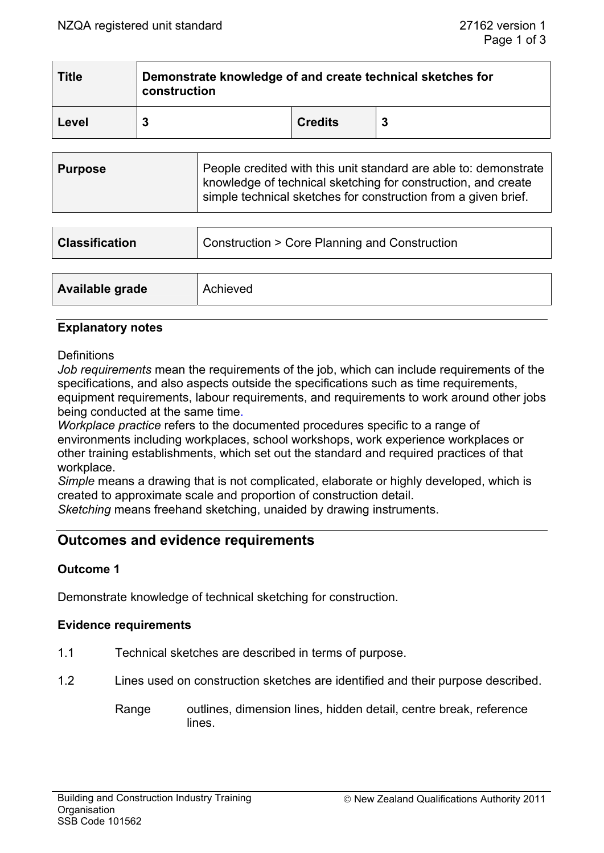| <b>Title</b> | Demonstrate knowledge of and create technical sketches for<br>construction |                |    |  |
|--------------|----------------------------------------------------------------------------|----------------|----|--|
| Level        |                                                                            | <b>Credits</b> | -3 |  |

| <b>Purpose</b> | People credited with this unit standard are able to: demonstrate                                                                |
|----------------|---------------------------------------------------------------------------------------------------------------------------------|
|                | knowledge of technical sketching for construction, and create<br>simple technical sketches for construction from a given brief. |

| <b>Classification</b> | Construction > Core Planning and Construction |  |
|-----------------------|-----------------------------------------------|--|
|                       |                                               |  |
| Available grade       | Achieved                                      |  |

# **Explanatory notes**

#### **Definitions**

*Job requirements* mean the requirements of the job, which can include requirements of the specifications, and also aspects outside the specifications such as time requirements, equipment requirements, labour requirements, and requirements to work around other jobs being conducted at the same time.

*Workplace practice* refers to the documented procedures specific to a range of environments including workplaces, school workshops, work experience workplaces or other training establishments, which set out the standard and required practices of that workplace.

*Simple* means a drawing that is not complicated, elaborate or highly developed, which is created to approximate scale and proportion of construction detail.

*Sketching* means freehand sketching, unaided by drawing instruments.

# **Outcomes and evidence requirements**

# **Outcome 1**

Demonstrate knowledge of technical sketching for construction.

#### **Evidence requirements**

- 1.1 Technical sketches are described in terms of purpose.
- 1.2 Lines used on construction sketches are identified and their purpose described.
	- Range outlines, dimension lines, hidden detail, centre break, reference lines.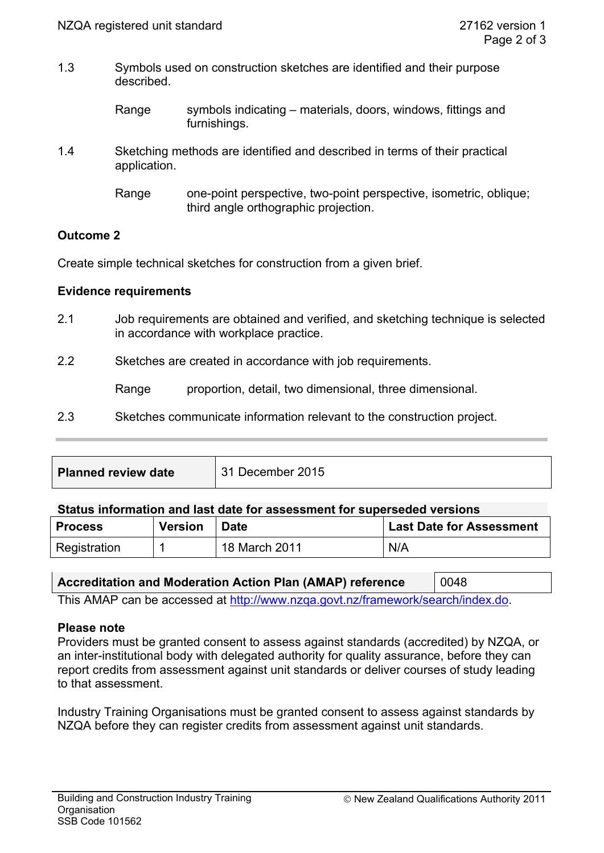1.3 Symbols used on construction sketches are identified and their purpose described.

| Range | symbols indicating – materials, doors, windows, fittings and |
|-------|--------------------------------------------------------------|
|       | furnishings.                                                 |

1.4 Sketching methods are identified and described in terms of their practical application.

# **Outcome 2**

Create simple technical sketches for construction from a given brief.

#### **Evidence requirements**

2.1 Job requirements are obtained and verified, and sketching technique is selected in accordance with workplace practice.

2.2 Sketches are created in accordance with job requirements.

Range proportion, detail, two dimensional, three dimensional.

2.3 Sketches communicate information relevant to the construction project.

| <b>Planned review date</b> | 31 December 2015 |
|----------------------------|------------------|
|                            |                  |

#### **Status information and last date for assessment for superseded versions**

| <b>Process</b> | <b>Version</b> | <b>Date</b>   | <b>Last Date for Assessment</b> |
|----------------|----------------|---------------|---------------------------------|
| Registration   |                | 18 March 2011 | N/A                             |

# **Accreditation and Moderation Action Plan (AMAP) reference** 0048

This AMAP can be accessed at http://www.nzqa.govt.nz/framework/search/index.do.

#### **Please note**

Providers must be granted consent to assess against standards (accredited) by NZQA, or an inter-institutional body with delegated authority for quality assurance, before they can report credits from assessment against unit standards or deliver courses of study leading to that assessment.

Industry Training Organisations must be granted consent to assess against standards by NZQA before they can register credits from assessment against unit standards.

Range one-point perspective, two-point perspective, isometric, oblique; third angle orthographic projection.